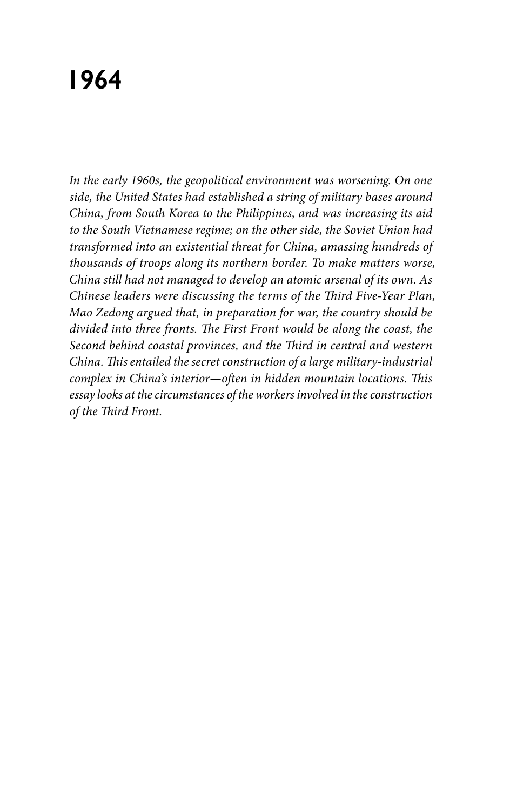# **1964**

*In the early 1960s, the geopolitical environment was worsening. On one side, the United States had established a string of military bases around China, from South Korea to the Philippines, and was increasing its aid to the South Vietnamese regime; on the other side, the Soviet Union had transformed into an existential threat for China, amassing hundreds of thousands of troops along its northern border. To make matters worse, China still had not managed to develop an atomic arsenal of its own. As Chinese leaders were discussing the terms of the Third Five-Year Plan, Mao Zedong argued that, in preparation for war, the country should be divided into three fronts. The First Front would be along the coast, the Second behind coastal provinces, and the Third in central and western China. This entailed the secret construction of a large military-industrial complex in China's interior—often in hidden mountain locations. This essay looks at the circumstances of the workers involved in the construction of the Third Front.*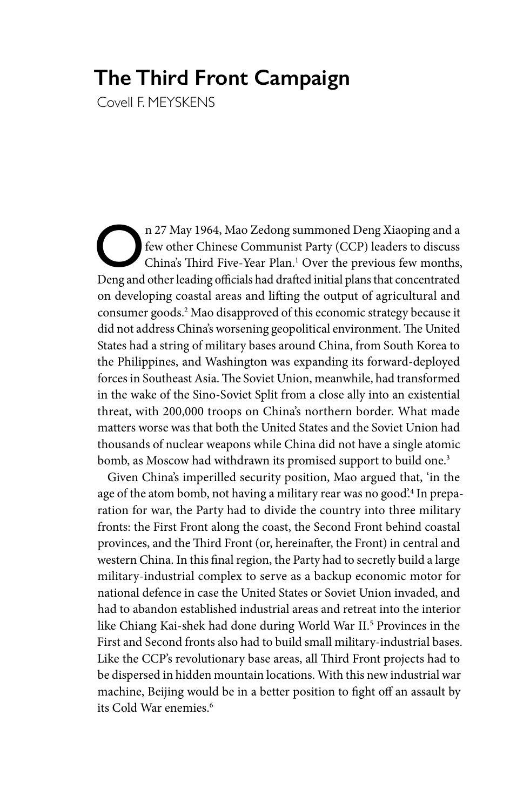# **The Third Front Campaign**

Covell F. MEYSKENS

n 27 May 1964, Mao Zedong summoned Deng Xiaoping and a<br>few other Chinese Communist Party (CCP) leaders to discuss<br>China's Third Five-Year Plan.<sup>1</sup> Over the previous few months,<br>Deng and other leading officials had drafted few other Chinese Communist Party (CCP) leaders to discuss China's Third Five-Year Plan.<sup>1</sup> Over the previous few months, Deng and other leading officials had drafted initial plans that concentrated on developing coastal areas and lifting the output of agricultural and consumer goods.2 Mao disapproved of this economic strategy because it did not address China's worsening geopolitical environment. The United States had a string of military bases around China, from South Korea to the Philippines, and Washington was expanding its forward-deployed forces in Southeast Asia. The Soviet Union, meanwhile, had transformed in the wake of the Sino-Soviet Split from a close ally into an existential threat, with 200,000 troops on China's northern border. What made matters worse was that both the United States and the Soviet Union had thousands of nuclear weapons while China did not have a single atomic bomb, as Moscow had withdrawn its promised support to build one.<sup>3</sup>

Given China's imperilled security position, Mao argued that, 'in the age of the atom bomb, not having a military rear was no good.<sup>4</sup> In preparation for war, the Party had to divide the country into three military fronts: the First Front along the coast, the Second Front behind coastal provinces, and the Third Front (or, hereinafter, the Front) in central and western China. In this final region, the Party had to secretly build a large military-industrial complex to serve as a backup economic motor for national defence in case the United States or Soviet Union invaded, and had to abandon established industrial areas and retreat into the interior like Chiang Kai-shek had done during World War II.5 Provinces in the First and Second fronts also had to build small military-industrial bases. Like the CCP's revolutionary base areas, all Third Front projects had to be dispersed in hidden mountain locations. With this new industrial war machine, Beijing would be in a better position to fight off an assault by its Cold War enemies.6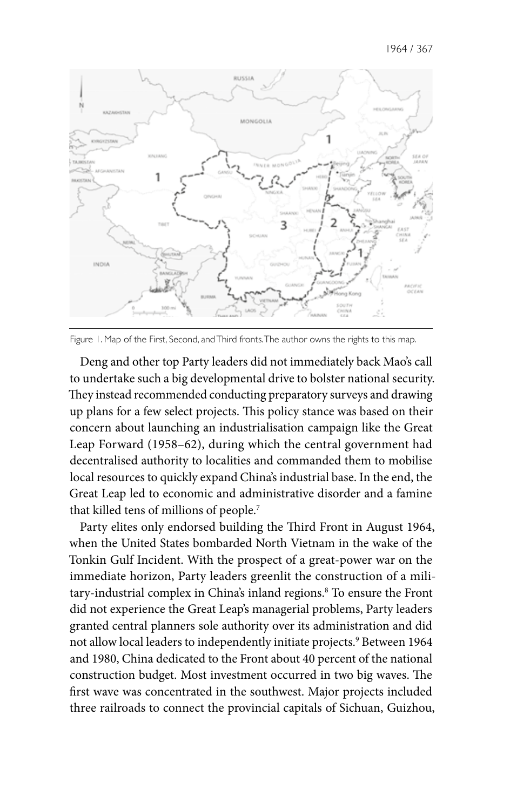

Figure 1. Map of the First, Second, and Third fronts. The author owns the rights to this map.

Deng and other top Party leaders did not immediately back Mao's call to undertake such a big developmental drive to bolster national security. They instead recommended conducting preparatory surveys and drawing up plans for a few select projects. This policy stance was based on their concern about launching an industrialisation campaign like the Great Leap Forward (1958–62), during which the central government had decentralised authority to localities and commanded them to mobilise local resources to quickly expand China's industrial base. In the end, the Great Leap led to economic and administrative disorder and a famine that killed tens of millions of people.7

Party elites only endorsed building the Third Front in August 1964, when the United States bombarded North Vietnam in the wake of the Tonkin Gulf Incident. With the prospect of a great-power war on the immediate horizon, Party leaders greenlit the construction of a military-industrial complex in China's inland regions.8 To ensure the Front did not experience the Great Leap's managerial problems, Party leaders granted central planners sole authority over its administration and did not allow local leaders to independently initiate projects.<sup>9</sup> Between 1964 and 1980, China dedicated to the Front about 40 percent of the national construction budget. Most investment occurred in two big waves. The first wave was concentrated in the southwest. Major projects included three railroads to connect the provincial capitals of Sichuan, Guizhou,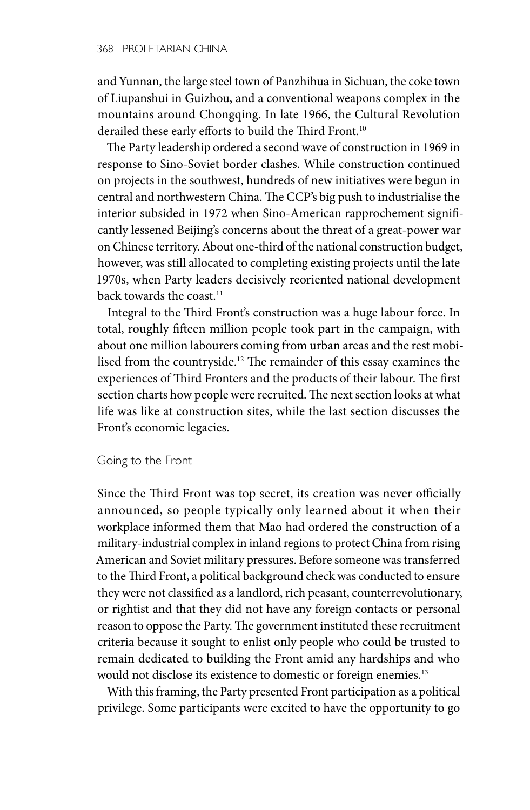and Yunnan, the large steel town of Panzhihua in Sichuan, the coke town of Liupanshui in Guizhou, and a conventional weapons complex in the mountains around Chongqing. In late 1966, the Cultural Revolution derailed these early efforts to build the Third Front.<sup>10</sup>

The Party leadership ordered a second wave of construction in 1969 in response to Sino-Soviet border clashes. While construction continued on projects in the southwest, hundreds of new initiatives were begun in central and northwestern China. The CCP's big push to industrialise the interior subsided in 1972 when Sino-American rapprochement significantly lessened Beijing's concerns about the threat of a great-power war on Chinese territory. About one-third of the national construction budget, however, was still allocated to completing existing projects until the late 1970s, when Party leaders decisively reoriented national development back towards the coast.<sup>11</sup>

Integral to the Third Front's construction was a huge labour force. In total, roughly fifteen million people took part in the campaign, with about one million labourers coming from urban areas and the rest mobilised from the countryside.12 The remainder of this essay examines the experiences of Third Fronters and the products of their labour. The first section charts how people were recruited. The next section looks at what life was like at construction sites, while the last section discusses the Front's economic legacies.

## Going to the Front

Since the Third Front was top secret, its creation was never officially announced, so people typically only learned about it when their workplace informed them that Mao had ordered the construction of a military-industrial complex in inland regions to protect China from rising American and Soviet military pressures. Before someone was transferred to the Third Front, a political background check was conducted to ensure they were not classified as a landlord, rich peasant, counterrevolutionary, or rightist and that they did not have any foreign contacts or personal reason to oppose the Party. The government instituted these recruitment criteria because it sought to enlist only people who could be trusted to remain dedicated to building the Front amid any hardships and who would not disclose its existence to domestic or foreign enemies.<sup>13</sup>

With this framing, the Party presented Front participation as a political privilege. Some participants were excited to have the opportunity to go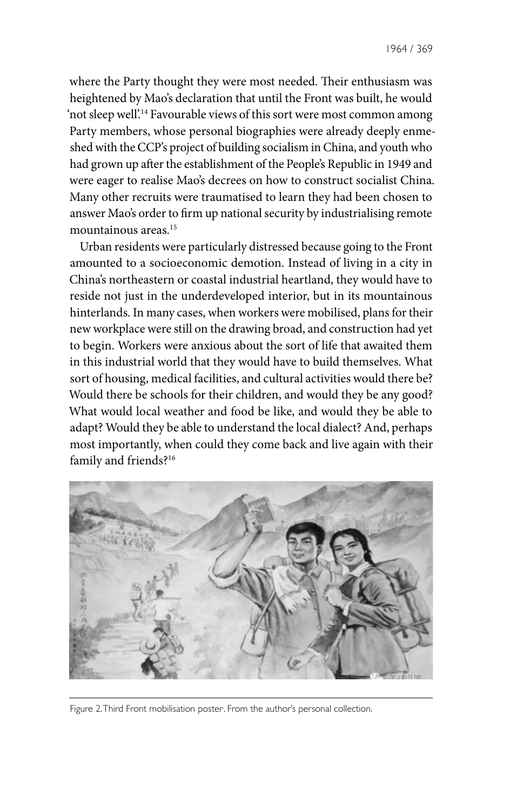where the Party thought they were most needed. Their enthusiasm was heightened by Mao's declaration that until the Front was built, he would 'not sleep well'.14 Favourable views of this sort were most common among Party members, whose personal biographies were already deeply enmeshed with the CCP's project of building socialism in China, and youth who had grown up after the establishment of the People's Republic in 1949 and were eager to realise Mao's decrees on how to construct socialist China. Many other recruits were traumatised to learn they had been chosen to answer Mao's order to firm up national security by industrialising remote mountainous areas.15

Urban residents were particularly distressed because going to the Front amounted to a socioeconomic demotion. Instead of living in a city in China's northeastern or coastal industrial heartland, they would have to reside not just in the underdeveloped interior, but in its mountainous hinterlands. In many cases, when workers were mobilised, plans for their new workplace were still on the drawing broad, and construction had yet to begin. Workers were anxious about the sort of life that awaited them in this industrial world that they would have to build themselves. What sort of housing, medical facilities, and cultural activities would there be? Would there be schools for their children, and would they be any good? What would local weather and food be like, and would they be able to adapt? Would they be able to understand the local dialect? And, perhaps most importantly, when could they come back and live again with their family and friends?16



Figure 2. Third Front mobilisation poster. . From the author's personal collection.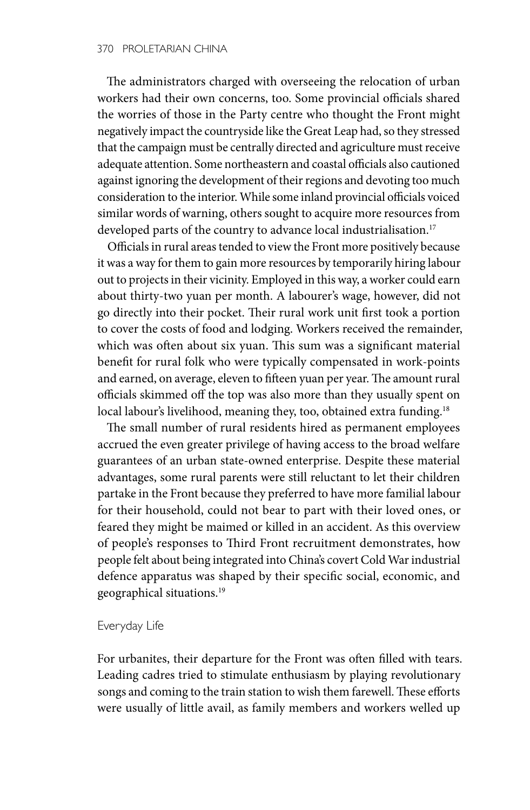The administrators charged with overseeing the relocation of urban workers had their own concerns, too. Some provincial officials shared the worries of those in the Party centre who thought the Front might negatively impact the countryside like the Great Leap had, so they stressed that the campaign must be centrally directed and agriculture must receive adequate attention. Some northeastern and coastal officials also cautioned against ignoring the development of their regions and devoting too much consideration to the interior. While some inland provincial officials voiced similar words of warning, others sought to acquire more resources from developed parts of the country to advance local industrialisation.<sup>17</sup>

Officials in rural areas tended to view the Front more positively because it was a way for them to gain more resources by temporarily hiring labour out to projects in their vicinity. Employed in this way, a worker could earn about thirty-two yuan per month. A labourer's wage, however, did not go directly into their pocket. Their rural work unit first took a portion to cover the costs of food and lodging. Workers received the remainder, which was often about six yuan. This sum was a significant material benefit for rural folk who were typically compensated in work-points and earned, on average, eleven to fifteen yuan per year. The amount rural officials skimmed off the top was also more than they usually spent on local labour's livelihood, meaning they, too, obtained extra funding.<sup>18</sup>

The small number of rural residents hired as permanent employees accrued the even greater privilege of having access to the broad welfare guarantees of an urban state-owned enterprise. Despite these material advantages, some rural parents were still reluctant to let their children partake in the Front because they preferred to have more familial labour for their household, could not bear to part with their loved ones, or feared they might be maimed or killed in an accident. As this overview of people's responses to Third Front recruitment demonstrates, how people felt about being integrated into China's covert Cold War industrial defence apparatus was shaped by their specific social, economic, and geographical situations.19

### Everyday Life

For urbanites, their departure for the Front was often filled with tears. Leading cadres tried to stimulate enthusiasm by playing revolutionary songs and coming to the train station to wish them farewell. These efforts were usually of little avail, as family members and workers welled up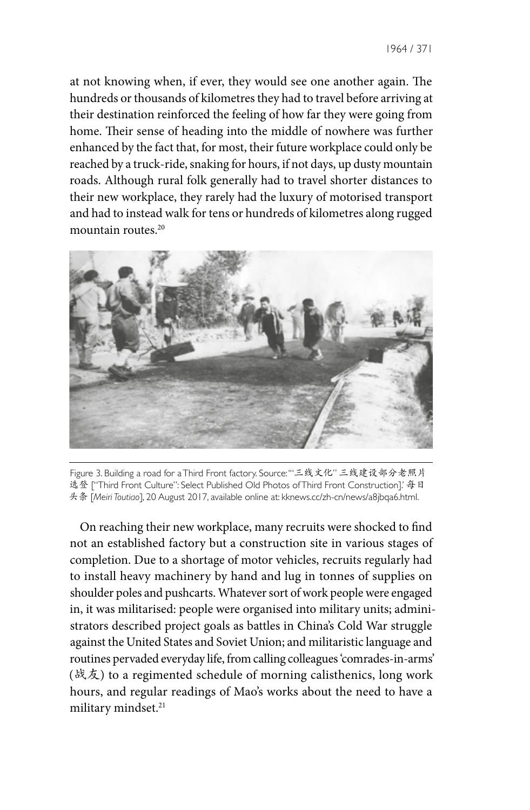at not knowing when, if ever, they would see one another again. The hundreds or thousands of kilometres they had to travel before arriving at their destination reinforced the feeling of how far they were going from home. Their sense of heading into the middle of nowhere was further enhanced by the fact that, for most, their future workplace could only be reached by a truck-ride, snaking for hours, if not days, up dusty mountain roads. Although rural folk generally had to travel shorter distances to their new workplace, they rarely had the luxury of motorised transport and had to instead walk for tens or hundreds of kilometres along rugged mountain routes.20



Figure 3. Building a road for a Third Front factory. Source: '"三线文化" 三线建设部分老照片 选登 ["Third Front Culture": Select Published Old Photos of Third Front Construction].' 每日 头条 [*Meiri Toutiao*], 20 August 2017, available online at: kknews.cc/zh-cn/news/a8jbqa6.html.

On reaching their new workplace, many recruits were shocked to find not an established factory but a construction site in various stages of completion. Due to a shortage of motor vehicles, recruits regularly had to install heavy machinery by hand and lug in tonnes of supplies on shoulder poles and pushcarts. Whatever sort of work people were engaged in, it was militarised: people were organised into military units; administrators described project goals as battles in China's Cold War struggle against the United States and Soviet Union; and militaristic language and routines pervaded everyday life, from calling colleagues 'comrades-in-arms' (战友) to a regimented schedule of morning calisthenics, long work hours, and regular readings of Mao's works about the need to have a military mindset.<sup>21</sup>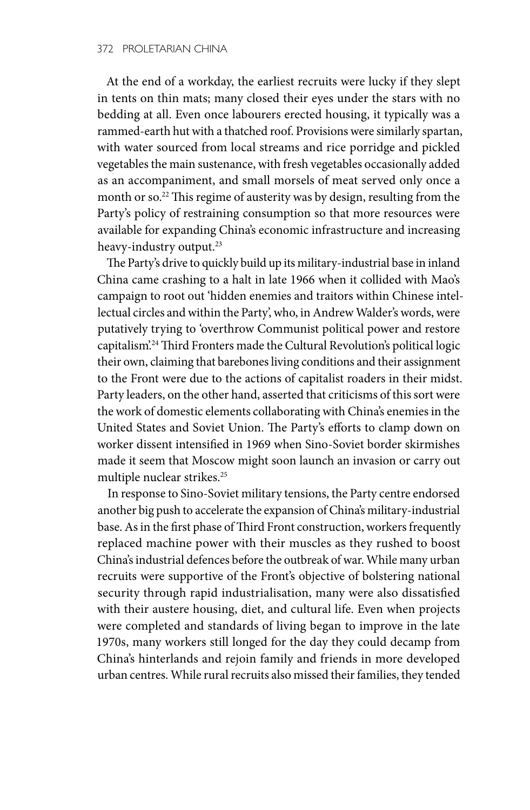At the end of a workday, the earliest recruits were lucky if they slept in tents on thin mats; many closed their eyes under the stars with no bedding at all. Even once labourers erected housing, it typically was a rammed-earth hut with a thatched roof. Provisions were similarly spartan, with water sourced from local streams and rice porridge and pickled vegetables the main sustenance, with fresh vegetables occasionally added as an accompaniment, and small morsels of meat served only once a month or so.22 This regime of austerity was by design, resulting from the Party's policy of restraining consumption so that more resources were available for expanding China's economic infrastructure and increasing heavy-industry output.<sup>23</sup>

The Party's drive to quickly build up its military-industrial base in inland China came crashing to a halt in late 1966 when it collided with Mao's campaign to root out 'hidden enemies and traitors within Chinese intellectual circles and within the Party', who, in Andrew Walder's words, were putatively trying to 'overthrow Communist political power and restore capitalism'.<sup>24</sup>Third Fronters made the Cultural Revolution's political logic their own, claiming that barebones living conditions and their assignment to the Front were due to the actions of capitalist roaders in their midst. Party leaders, on the other hand, asserted that criticisms of this sort were the work of domestic elements collaborating with China's enemies in the United States and Soviet Union. The Party's efforts to clamp down on worker dissent intensified in 1969 when Sino-Soviet border skirmishes made it seem that Moscow might soon launch an invasion or carry out multiple nuclear strikes.25

In response to Sino-Soviet military tensions, the Party centre endorsed another big push to accelerate the expansion of China's military-industrial base. As in the first phase of Third Front construction, workers frequently replaced machine power with their muscles as they rushed to boost China's industrial defences before the outbreak of war. While many urban recruits were supportive of the Front's objective of bolstering national security through rapid industrialisation, many were also dissatisfied with their austere housing, diet, and cultural life. Even when projects were completed and standards of living began to improve in the late 1970s, many workers still longed for the day they could decamp from China's hinterlands and rejoin family and friends in more developed urban centres. While rural recruits also missed their families, they tended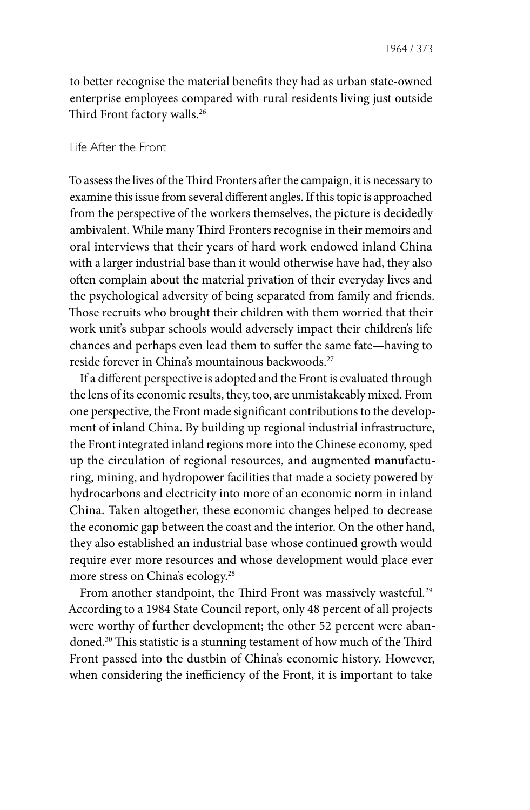to better recognise the material benefits they had as urban state-owned enterprise employees compared with rural residents living just outside Third Front factory walls.<sup>26</sup>

### Life After the Front

To assess the lives of the Third Fronters after the campaign, it is necessary to examine this issue from several different angles. If this topic is approached from the perspective of the workers themselves, the picture is decidedly ambivalent. While many Third Fronters recognise in their memoirs and oral interviews that their years of hard work endowed inland China with a larger industrial base than it would otherwise have had, they also often complain about the material privation of their everyday lives and the psychological adversity of being separated from family and friends. Those recruits who brought their children with them worried that their work unit's subpar schools would adversely impact their children's life chances and perhaps even lead them to suffer the same fate—having to reside forever in China's mountainous backwoods.27

If a different perspective is adopted and the Front is evaluated through the lens of its economic results, they, too, are unmistakeably mixed. From one perspective, the Front made significant contributions to the development of inland China. By building up regional industrial infrastructure, the Front integrated inland regions more into the Chinese economy, sped up the circulation of regional resources, and augmented manufacturing, mining, and hydropower facilities that made a society powered by hydrocarbons and electricity into more of an economic norm in inland China. Taken altogether, these economic changes helped to decrease the economic gap between the coast and the interior. On the other hand, they also established an industrial base whose continued growth would require ever more resources and whose development would place ever more stress on China's ecology.28

From another standpoint, the Third Front was massively wasteful.<sup>29</sup> According to a 1984 State Council report, only 48 percent of all projects were worthy of further development; the other 52 percent were abandoned.30 This statistic is a stunning testament of how much of the Third Front passed into the dustbin of China's economic history. However, when considering the inefficiency of the Front, it is important to take